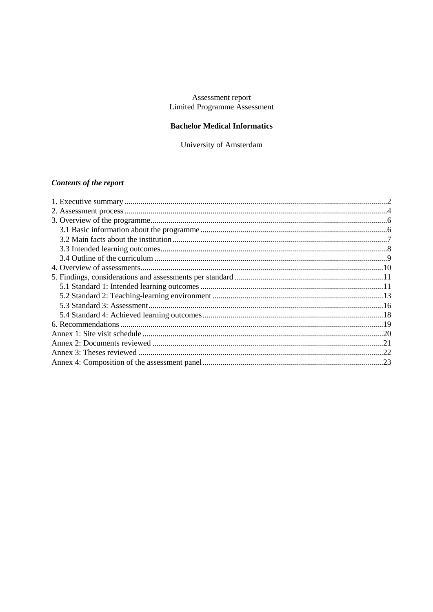## Assessment report Limited Programme Assessment

## **Bachelor Medical Informatics**

University of Amsterdam

# **Contents of the report**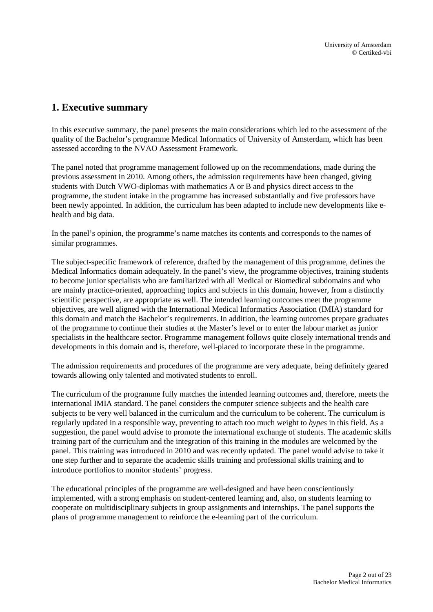# <span id="page-1-0"></span>**1. Executive summary**

In this executive summary, the panel presents the main considerations which led to the assessment of the quality of the Bachelor's programme Medical Informatics of University of Amsterdam, which has been assessed according to the NVAO Assessment Framework.

The panel noted that programme management followed up on the recommendations, made during the previous assessment in 2010. Among others, the admission requirements have been changed, giving students with Dutch VWO-diplomas with mathematics A or B and physics direct access to the programme, the student intake in the programme has increased substantially and five professors have been newly appointed. In addition, the curriculum has been adapted to include new developments like ehealth and big data.

In the panel's opinion, the programme's name matches its contents and corresponds to the names of similar programmes.

The subject-specific framework of reference, drafted by the management of this programme, defines the Medical Informatics domain adequately. In the panel's view, the programme objectives, training students to become junior specialists who are familiarized with all Medical or Biomedical subdomains and who are mainly practice-oriented, approaching topics and subjects in this domain, however, from a distinctly scientific perspective, are appropriate as well. The intended learning outcomes meet the programme objectives, are well aligned with the International Medical Informatics Association (IMIA) standard for this domain and match the Bachelor's requirements. In addition, the learning outcomes prepare graduates of the programme to continue their studies at the Master's level or to enter the labour market as junior specialists in the healthcare sector. Programme management follows quite closely international trends and developments in this domain and is, therefore, well-placed to incorporate these in the programme.

The admission requirements and procedures of the programme are very adequate, being definitely geared towards allowing only talented and motivated students to enroll.

The curriculum of the programme fully matches the intended learning outcomes and, therefore, meets the international IMIA standard. The panel considers the computer science subjects and the health care subjects to be very well balanced in the curriculum and the curriculum to be coherent. The curriculum is regularly updated in a responsible way, preventing to attach too much weight to *hypes* in this field. As a suggestion, the panel would advise to promote the international exchange of students. The academic skills training part of the curriculum and the integration of this training in the modules are welcomed by the panel. This training was introduced in 2010 and was recently updated. The panel would advise to take it one step further and to separate the academic skills training and professional skills training and to introduce portfolios to monitor students' progress.

The educational principles of the programme are well-designed and have been conscientiously implemented, with a strong emphasis on student-centered learning and, also, on students learning to cooperate on multidisciplinary subjects in group assignments and internships. The panel supports the plans of programme management to reinforce the e-learning part of the curriculum.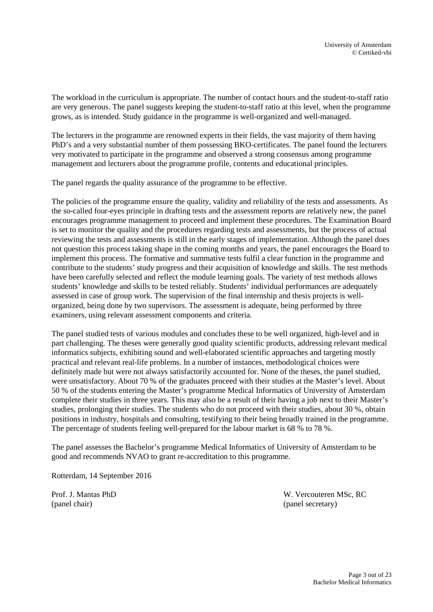The workload in the curriculum is appropriate. The number of contact hours and the student-to-staff ratio are very generous. The panel suggests keeping the student-to-staff ratio at this level, when the programme grows, as is intended. Study guidance in the programme is well-organized and well-managed.

The lecturers in the programme are renowned experts in their fields, the vast majority of them having PhD's and a very substantial number of them possessing BKO-certificates. The panel found the lecturers very motivated to participate in the programme and observed a strong consensus among programme management and lecturers about the programme profile, contents and educational principles.

The panel regards the quality assurance of the programme to be effective.

The policies of the programme ensure the quality, validity and reliability of the tests and assessments. As the so-called four-eyes principle in drafting tests and the assessment reports are relatively new, the panel encourages programme management to proceed and implement these procedures. The Examination Board is set to monitor the quality and the procedures regarding tests and assessments, but the process of actual reviewing the tests and assessments is still in the early stages of implementation. Although the panel does not question this process taking shape in the coming months and years, the panel encourages the Board to implement this process. The formative and summative tests fulfil a clear function in the programme and contribute to the students' study progress and their acquisition of knowledge and skills. The test methods have been carefully selected and reflect the module learning goals. The variety of test methods allows students' knowledge and skills to be tested reliably. Students' individual performances are adequately assessed in case of group work. The supervision of the final internship and thesis projects is wellorganized, being done by two supervisors. The assessment is adequate, being performed by three examiners, using relevant assessment components and criteria.

The panel studied tests of various modules and concludes these to be well organized, high-level and in part challenging. The theses were generally good quality scientific products, addressing relevant medical informatics subjects, exhibiting sound and well-elaborated scientific approaches and targeting mostly practical and relevant real-life problems. In a number of instances, methodological choices were definitely made but were not always satisfactorily accounted for. None of the theses, the panel studied, were unsatisfactory. About 70 % of the graduates proceed with their studies at the Master's level. About 50 % of the students entering the Master's programme Medical Informatics of University of Amsterdam complete their studies in three years. This may also be a result of their having a job next to their Master's studies, prolonging their studies. The students who do not proceed with their studies, about 30 %, obtain positions in industry, hospitals and consulting, testifying to their being broadly trained in the programme. The percentage of students feeling well-prepared for the labour market is 68 % to 78 %.

The panel assesses the Bachelor's programme Medical Informatics of University of Amsterdam to be good and recommends NVAO to grant re-accreditation to this programme.

Rotterdam, 14 September 2016

(panel chair) (panel secretary)

Prof. J. Mantas PhD W. Vercouteren MSc, RC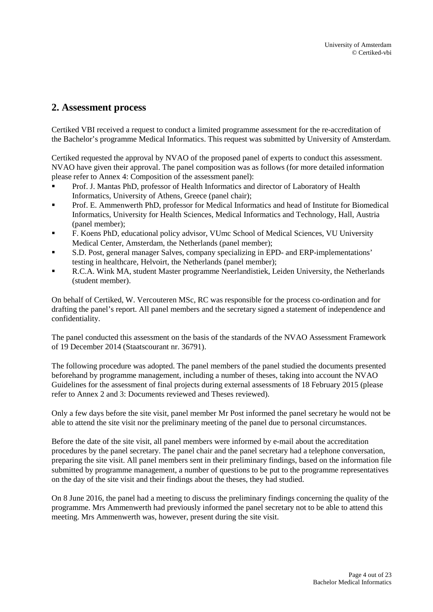# <span id="page-3-0"></span>**2. Assessment process**

Certiked VBI received a request to conduct a limited programme assessment for the re-accreditation of the Bachelor's programme Medical Informatics. This request was submitted by University of Amsterdam.

Certiked requested the approval by NVAO of the proposed panel of experts to conduct this assessment. NVAO have given their approval. The panel composition was as follows (for more detailed information please refer to Annex 4: Composition of the assessment panel):

- Prof. J. Mantas PhD, professor of Health Informatics and director of Laboratory of Health Informatics, University of Athens, Greece (panel chair);
- Prof. E. Ammenwerth PhD, professor for Medical Informatics and head of Institute for Biomedical Informatics, University for Health Sciences, Medical Informatics and Technology, Hall, Austria (panel member);
- F. Koens PhD, educational policy advisor, VUmc School of Medical Sciences, VU University Medical Center, Amsterdam, the Netherlands (panel member);
- S.D. Post, general manager Salves, company specializing in EPD- and ERP-implementations' testing in healthcare, Helvoirt, the Netherlands (panel member);
- R.C.A. Wink MA, student Master programme Neerlandistiek, Leiden University, the Netherlands (student member).

On behalf of Certiked, W. Vercouteren MSc, RC was responsible for the process co-ordination and for drafting the panel's report. All panel members and the secretary signed a statement of independence and confidentiality.

The panel conducted this assessment on the basis of the standards of the NVAO Assessment Framework of 19 December 2014 (Staatscourant nr. 36791).

The following procedure was adopted. The panel members of the panel studied the documents presented beforehand by programme management, including a number of theses, taking into account the NVAO Guidelines for the assessment of final projects during external assessments of 18 February 2015 (please refer to Annex 2 and 3: Documents reviewed and Theses reviewed).

Only a few days before the site visit, panel member Mr Post informed the panel secretary he would not be able to attend the site visit nor the preliminary meeting of the panel due to personal circumstances.

Before the date of the site visit, all panel members were informed by e-mail about the accreditation procedures by the panel secretary. The panel chair and the panel secretary had a telephone conversation, preparing the site visit. All panel members sent in their preliminary findings, based on the information file submitted by programme management, a number of questions to be put to the programme representatives on the day of the site visit and their findings about the theses, they had studied.

On 8 June 2016, the panel had a meeting to discuss the preliminary findings concerning the quality of the programme. Mrs Ammenwerth had previously informed the panel secretary not to be able to attend this meeting. Mrs Ammenwerth was, however, present during the site visit.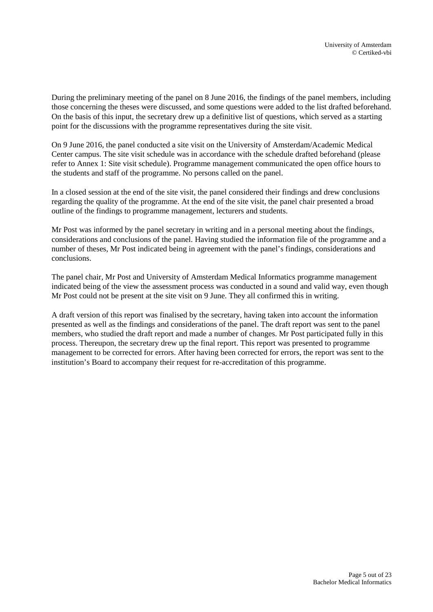During the preliminary meeting of the panel on 8 June 2016, the findings of the panel members, including those concerning the theses were discussed, and some questions were added to the list drafted beforehand. On the basis of this input, the secretary drew up a definitive list of questions, which served as a starting point for the discussions with the programme representatives during the site visit.

On 9 June 2016, the panel conducted a site visit on the University of Amsterdam/Academic Medical Center campus. The site visit schedule was in accordance with the schedule drafted beforehand (please refer to Annex 1: Site visit schedule). Programme management communicated the open office hours to the students and staff of the programme. No persons called on the panel.

In a closed session at the end of the site visit, the panel considered their findings and drew conclusions regarding the quality of the programme. At the end of the site visit, the panel chair presented a broad outline of the findings to programme management, lecturers and students.

Mr Post was informed by the panel secretary in writing and in a personal meeting about the findings, considerations and conclusions of the panel. Having studied the information file of the programme and a number of theses, Mr Post indicated being in agreement with the panel's findings, considerations and conclusions.

The panel chair, Mr Post and University of Amsterdam Medical Informatics programme management indicated being of the view the assessment process was conducted in a sound and valid way, even though Mr Post could not be present at the site visit on 9 June. They all confirmed this in writing.

A draft version of this report was finalised by the secretary, having taken into account the information presented as well as the findings and considerations of the panel. The draft report was sent to the panel members, who studied the draft report and made a number of changes. Mr Post participated fully in this process. Thereupon, the secretary drew up the final report. This report was presented to programme management to be corrected for errors. After having been corrected for errors, the report was sent to the institution's Board to accompany their request for re-accreditation of this programme.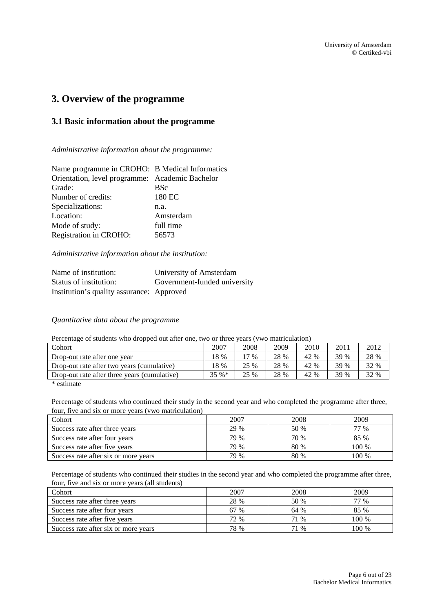# <span id="page-5-0"></span>**3. Overview of the programme**

## <span id="page-5-1"></span>**3.1 Basic information about the programme**

*Administrative information about the programme:*

| Name programme in CROHO: B Medical Informatics  |
|-------------------------------------------------|
| Orientation, level programme: Academic Bachelor |
| <b>BSc</b>                                      |
| 180 EC                                          |
| n.a.                                            |
| Amsterdam                                       |
| full time                                       |
| 56573                                           |
|                                                 |

*Administrative information about the institution:*

| Name of institution:                      | University of Amsterdam      |
|-------------------------------------------|------------------------------|
| Status of institution:                    | Government-funded university |
| Institution's quality assurance: Approved |                              |

*Quantitative data about the programme*

Percentage of students who dropped out after one, two or three years (vwo matriculation)

| Cohort                                       | 2007    | 2008   | 2009 | 2010 | 2011 | 2012 |
|----------------------------------------------|---------|--------|------|------|------|------|
| Drop-out rate after one year                 | 18 %    | $17\%$ | 28 % | 42 % | 39 % | 28 % |
| Drop-out rate after two years (cumulative)   | 18 %    | 25 %   | 28 % | 42 % | 39 % | 32 % |
| Drop-out rate after three years (cumulative) | $35 \%$ | 25 %   | 28 % | 42 % | 39 % | 32 % |

\* estimate

Percentage of students who continued their study in the second year and who completed the programme after three, four, five and six or more years (vwo matriculation)

| Cohort                               | 2007 | 2008 | 2009  |
|--------------------------------------|------|------|-------|
| Success rate after three years       | 29 % | 50 % | 77 %  |
| Success rate after four years        | 79 % | 70 % | 85 %  |
| Success rate after five years        | 79 % | 80 % | 100 % |
| Success rate after six or more years | 79 % | 80 % | 100 % |

Percentage of students who continued their studies in the second year and who completed the programme after three, four, five and six or more years (all students)

| Cohort                               | 2007 | 2008 | 2009  |
|--------------------------------------|------|------|-------|
| Success rate after three years       | 28 % | 50 % | 77 %  |
| Success rate after four years        | 67 % | 64 % | 85 %  |
| Success rate after five years        | 72 % | 71 % | 100 % |
| Success rate after six or more years | 78 % | 71 % | 100 % |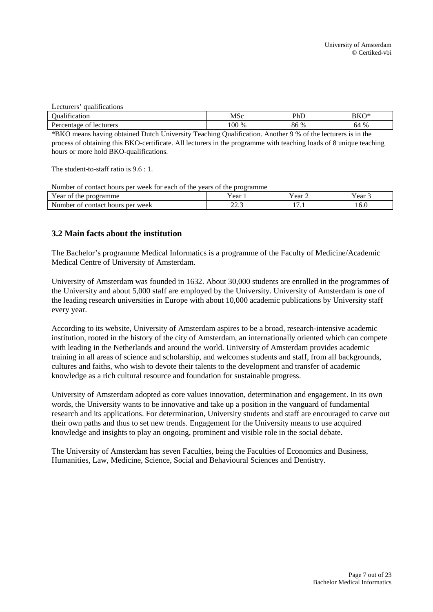| 1.00<br>qualifications<br>Lecturers |       |      |      |
|-------------------------------------|-------|------|------|
| <b>Dualification</b>                | MSc   | PhD  | BKO* |
| Percentage of lecturers             | 100 % | 86 % | 64 % |

\*BKO means having obtained Dutch University Teaching Qualification. Another 9 % of the lecturers is in the process of obtaining this BKO-certificate. All lecturers in the programme with teaching loads of 8 unique teaching hours or more hold BKO-qualifications.

The student-to-staff ratio is 9.6 : 1.

Number of contact hours per week for each of the years of the programme

| $\mathbf{v}$<br>amme:<br>. ear<br>the<br>$\cdot$ nr<br>O1                 | ear                          | - -<br>r ear | ear  |
|---------------------------------------------------------------------------|------------------------------|--------------|------|
| . .<br>. ner<br>week<br>∍Num∽<br>.nher.<br>hours<br>contact<br><b>UUN</b> | $\sim$ $\sim$<br>ن و بار بار | -<br>.       | 10.V |

## <span id="page-6-0"></span>**3.2 Main facts about the institution**

The Bachelor's programme Medical Informatics is a programme of the Faculty of Medicine/Academic Medical Centre of University of Amsterdam.

University of Amsterdam was founded in 1632. About 30,000 students are enrolled in the programmes of the University and about 5,000 staff are employed by the University. University of Amsterdam is one of the leading research universities in Europe with about 10,000 academic publications by University staff every year.

According to its website, University of Amsterdam aspires to be a broad, research-intensive academic institution, rooted in the history of the city of Amsterdam, an internationally oriented which can compete with leading in the Netherlands and around the world. University of Amsterdam provides academic training in all areas of science and scholarship, and welcomes students and staff, from all backgrounds, cultures and faiths, who wish to devote their talents to the development and transfer of academic knowledge as a rich cultural resource and foundation for sustainable progress.

University of Amsterdam adopted as core values innovation, determination and engagement. In its own words, the University wants to be innovative and take up a position in the vanguard of fundamental research and its applications. For determination, University students and staff are encouraged to carve out their own paths and thus to set new trends. Engagement for the University means to use acquired knowledge and insights to play an ongoing, prominent and visible role in the social debate.

<span id="page-6-1"></span>The University of Amsterdam has seven Faculties, being the Faculties of Economics and Business, Humanities, Law, Medicine, Science, Social and Behavioural Sciences and Dentistry.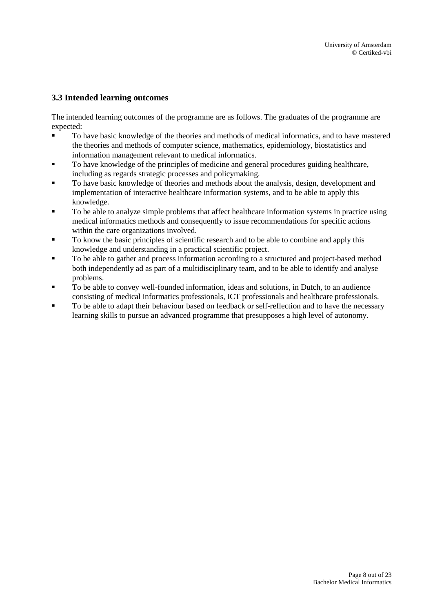## **3.3 Intended learning outcomes**

The intended learning outcomes of the programme are as follows. The graduates of the programme are expected:

- To have basic knowledge of the theories and methods of medical informatics, and to have mastered the theories and methods of computer science, mathematics, epidemiology, biostatistics and information management relevant to medical informatics.
- To have knowledge of the principles of medicine and general procedures guiding healthcare, including as regards strategic processes and policymaking.
- To have basic knowledge of theories and methods about the analysis, design, development and implementation of interactive healthcare information systems, and to be able to apply this knowledge.
- To be able to analyze simple problems that affect healthcare information systems in practice using medical informatics methods and consequently to issue recommendations for specific actions within the care organizations involved.
- To know the basic principles of scientific research and to be able to combine and apply this knowledge and understanding in a practical scientific project.
- $\blacksquare$  To be able to gather and process information according to a structured and project-based method both independently ad as part of a multidisciplinary team, and to be able to identify and analyse problems.
- To be able to convey well-founded information, ideas and solutions, in Dutch, to an audience consisting of medical informatics professionals, ICT professionals and healthcare professionals.
- <span id="page-7-0"></span>To be able to adapt their behaviour based on feedback or self-reflection and to have the necessary learning skills to pursue an advanced programme that presupposes a high level of autonomy.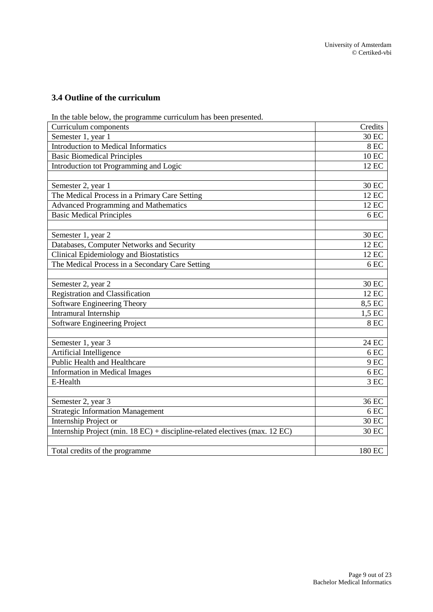## **3.4 Outline of the curriculum**

In the table below, the programme curriculum has been presented.

| Curriculum components                                                       | Credits      |
|-----------------------------------------------------------------------------|--------------|
| Semester 1, year 1                                                          | 30 EC        |
| <b>Introduction to Medical Informatics</b>                                  | <b>8 EC</b>  |
| <b>Basic Biomedical Principles</b>                                          | <b>10 EC</b> |
| Introduction tot Programming and Logic                                      | 12 EC        |
|                                                                             |              |
| Semester 2, year 1                                                          | 30 EC        |
| The Medical Process in a Primary Care Setting                               | 12 EC        |
| <b>Advanced Programming and Mathematics</b>                                 | 12 EC        |
| <b>Basic Medical Principles</b>                                             | 6 EC         |
|                                                                             |              |
| Semester 1, year 2                                                          | 30 EC        |
| Databases, Computer Networks and Security                                   | 12 EC        |
| <b>Clinical Epidemiology and Biostatistics</b>                              | 12 EC        |
| The Medical Process in a Secondary Care Setting                             | 6 EC         |
|                                                                             |              |
| Semester 2, year 2                                                          | 30 EC        |
| <b>Registration and Classification</b>                                      | 12 EC        |
| Software Engineering Theory                                                 | 8,5 EC       |
| Intramural Internship                                                       | 1,5 EC       |
| <b>Software Engineering Project</b>                                         | 8 EC         |
|                                                                             |              |
| Semester 1, year 3                                                          | 24 EC        |
| Artificial Intelligence                                                     | 6 EC         |
| <b>Public Health and Healthcare</b>                                         | 9EC          |
| <b>Information in Medical Images</b>                                        | 6 EC         |
| E-Health                                                                    | 3 EC         |
|                                                                             |              |
| Semester 2, year 3                                                          | 36 EC        |
| <b>Strategic Information Management</b>                                     | 6 EC         |
| Internship Project or                                                       | 30 EC        |
| Internship Project (min. 18 EC) + discipline-related electives (max. 12 EC) | 30 EC        |
|                                                                             |              |
| Total credits of the programme                                              | 180 EC       |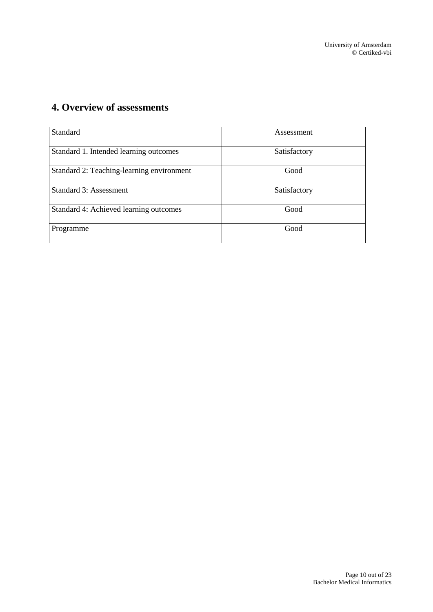# <span id="page-9-0"></span>**4. Overview of assessments**

| Standard                                  | Assessment   |
|-------------------------------------------|--------------|
| Standard 1. Intended learning outcomes    | Satisfactory |
| Standard 2: Teaching-learning environment | Good         |
| Standard 3: Assessment                    | Satisfactory |
| Standard 4: Achieved learning outcomes    | Good         |
| Programme                                 | Good         |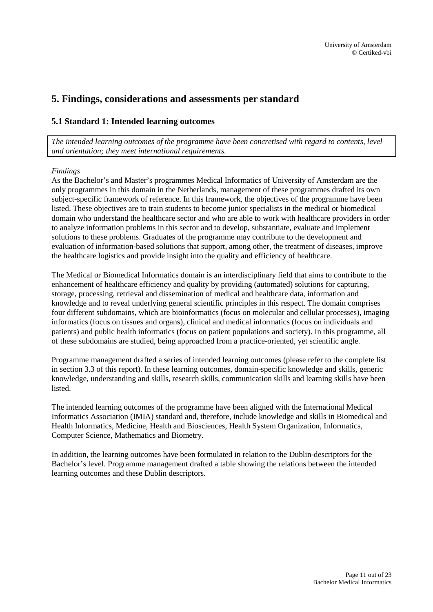# <span id="page-10-0"></span>**5. Findings, considerations and assessments per standard**

## <span id="page-10-1"></span>**5.1 Standard 1: Intended learning outcomes**

*The intended learning outcomes of the programme have been concretised with regard to contents, level and orientation; they meet international requirements.*

### *Findings*

As the Bachelor's and Master's programmes Medical Informatics of University of Amsterdam are the only programmes in this domain in the Netherlands, management of these programmes drafted its own subject-specific framework of reference. In this framework, the objectives of the programme have been listed. These objectives are to train students to become junior specialists in the medical or biomedical domain who understand the healthcare sector and who are able to work with healthcare providers in order to analyze information problems in this sector and to develop, substantiate, evaluate and implement solutions to these problems. Graduates of the programme may contribute to the development and evaluation of information-based solutions that support, among other, the treatment of diseases, improve the healthcare logistics and provide insight into the quality and efficiency of healthcare.

The Medical or Biomedical Informatics domain is an interdisciplinary field that aims to contribute to the enhancement of healthcare efficiency and quality by providing (automated) solutions for capturing, storage, processing, retrieval and dissemination of medical and healthcare data, information and knowledge and to reveal underlying general scientific principles in this respect. The domain comprises four different subdomains, which are bioinformatics (focus on molecular and cellular processes), imaging informatics (focus on tissues and organs), clinical and medical informatics (focus on individuals and patients) and public health informatics (focus on patient populations and society). In this programme, all of these subdomains are studied, being approached from a practice-oriented, yet scientific angle.

Programme management drafted a series of intended learning outcomes (please refer to the complete list in section 3.3 of this report). In these learning outcomes, domain-specific knowledge and skills, generic knowledge, understanding and skills, research skills, communication skills and learning skills have been **listed** 

The intended learning outcomes of the programme have been aligned with the International Medical Informatics Association (IMIA) standard and, therefore, include knowledge and skills in Biomedical and Health Informatics, Medicine, Health and Biosciences, Health System Organization, Informatics, Computer Science, Mathematics and Biometry.

In addition, the learning outcomes have been formulated in relation to the Dublin-descriptors for the Bachelor's level. Programme management drafted a table showing the relations between the intended learning outcomes and these Dublin descriptors.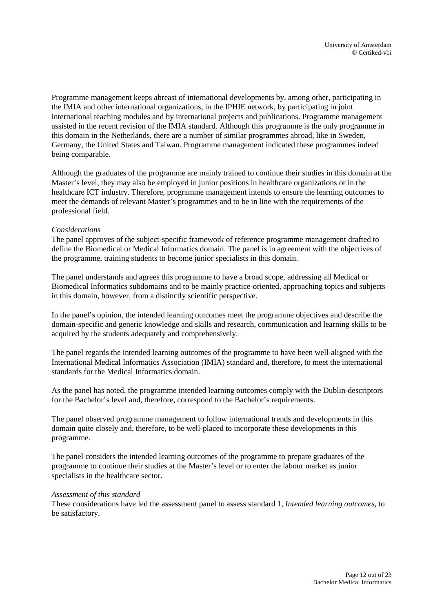Programme management keeps abreast of international developments by, among other, participating in the IMIA and other international organizations, in the IPHIE network, by participating in joint international teaching modules and by international projects and publications. Programme management assisted in the recent revision of the IMIA standard. Although this programme is the only programme in this domain in the Netherlands, there are a number of similar programmes abroad, like in Sweden, Germany, the United States and Taiwan. Programme management indicated these programmes indeed being comparable.

Although the graduates of the programme are mainly trained to continue their studies in this domain at the Master's level, they may also be employed in junior positions in healthcare organizations or in the healthcare ICT industry. Therefore, programme management intends to ensure the learning outcomes to meet the demands of relevant Master's programmes and to be in line with the requirements of the professional field.

### *Considerations*

The panel approves of the subject-specific framework of reference programme management drafted to define the Biomedical or Medical Informatics domain. The panel is in agreement with the objectives of the programme, training students to become junior specialists in this domain.

The panel understands and agrees this programme to have a broad scope, addressing all Medical or Biomedical Informatics subdomains and to be mainly practice-oriented, approaching topics and subjects in this domain, however, from a distinctly scientific perspective.

In the panel's opinion, the intended learning outcomes meet the programme objectives and describe the domain-specific and generic knowledge and skills and research, communication and learning skills to be acquired by the students adequately and comprehensively.

The panel regards the intended learning outcomes of the programme to have been well-aligned with the International Medical Informatics Association (IMIA) standard and, therefore, to meet the international standards for the Medical Informatics domain.

As the panel has noted, the programme intended learning outcomes comply with the Dublin-descriptors for the Bachelor's level and, therefore, correspond to the Bachelor's requirements.

The panel observed programme management to follow international trends and developments in this domain quite closely and, therefore, to be well-placed to incorporate these developments in this programme.

The panel considers the intended learning outcomes of the programme to prepare graduates of the programme to continue their studies at the Master's level or to enter the labour market as junior specialists in the healthcare sector.

### *Assessment of this standard*

These considerations have led the assessment panel to assess standard 1, *Intended learning outcomes*, to be satisfactory.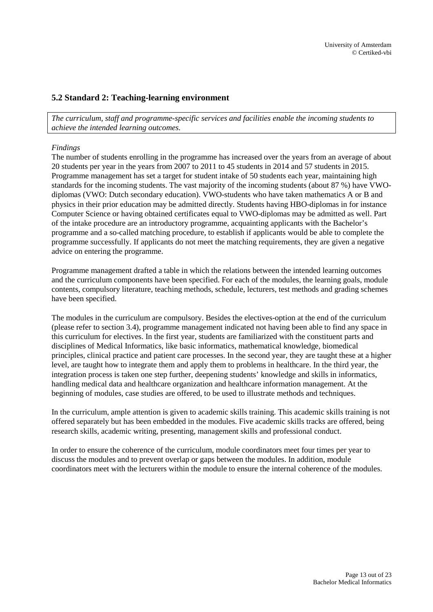## <span id="page-12-0"></span>**5.2 Standard 2: Teaching-learning environment**

*The curriculum, staff and programme-specific services and facilities enable the incoming students to achieve the intended learning outcomes.*

#### *Findings*

The number of students enrolling in the programme has increased over the years from an average of about 20 students per year in the years from 2007 to 2011 to 45 students in 2014 and 57 students in 2015. Programme management has set a target for student intake of 50 students each year, maintaining high standards for the incoming students. The vast majority of the incoming students (about 87 %) have VWOdiplomas (VWO: Dutch secondary education). VWO-students who have taken mathematics A or B and physics in their prior education may be admitted directly. Students having HBO-diplomas in for instance Computer Science or having obtained certificates equal to VWO-diplomas may be admitted as well. Part of the intake procedure are an introductory programme, acquainting applicants with the Bachelor's programme and a so-called matching procedure, to establish if applicants would be able to complete the programme successfully. If applicants do not meet the matching requirements, they are given a negative advice on entering the programme.

Programme management drafted a table in which the relations between the intended learning outcomes and the curriculum components have been specified. For each of the modules, the learning goals, module contents, compulsory literature, teaching methods, schedule, lecturers, test methods and grading schemes have been specified.

The modules in the curriculum are compulsory. Besides the electives-option at the end of the curriculum (please refer to section 3.4), programme management indicated not having been able to find any space in this curriculum for electives. In the first year, students are familiarized with the constituent parts and disciplines of Medical Informatics, like basic informatics, mathematical knowledge, biomedical principles, clinical practice and patient care processes. In the second year, they are taught these at a higher level, are taught how to integrate them and apply them to problems in healthcare. In the third year, the integration process is taken one step further, deepening students' knowledge and skills in informatics, handling medical data and healthcare organization and healthcare information management. At the beginning of modules, case studies are offered, to be used to illustrate methods and techniques.

In the curriculum, ample attention is given to academic skills training. This academic skills training is not offered separately but has been embedded in the modules. Five academic skills tracks are offered, being research skills, academic writing, presenting, management skills and professional conduct.

In order to ensure the coherence of the curriculum, module coordinators meet four times per year to discuss the modules and to prevent overlap or gaps between the modules. In addition, module coordinators meet with the lecturers within the module to ensure the internal coherence of the modules.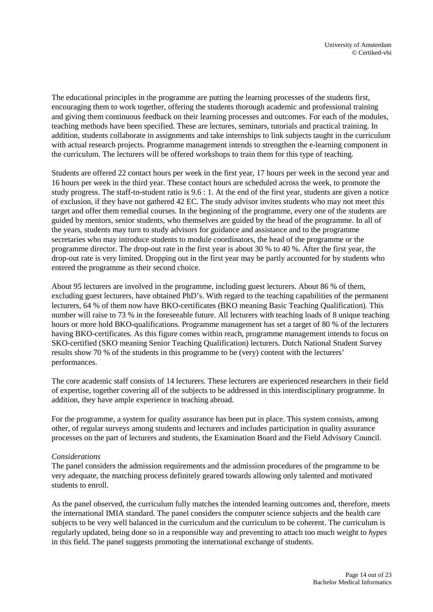The educational principles in the programme are putting the learning processes of the students first, encouraging them to work together, offering the students thorough academic and professional training and giving them continuous feedback on their learning processes and outcomes. For each of the modules, teaching methods have been specified. These are lectures, seminars, tutorials and practical training. In addition, students collaborate in assignments and take internships to link subjects taught in the curriculum with actual research projects. Programme management intends to strengthen the e-learning component in the curriculum. The lecturers will be offered workshops to train them for this type of teaching.

Students are offered 22 contact hours per week in the first year, 17 hours per week in the second year and 16 hours per week in the third year. These contact hours are scheduled across the week, to promote the study progress. The staff-to-student ratio is 9.6 : 1. At the end of the first year, students are given a notice of exclusion, if they have not gathered 42 EC. The study advisor invites students who may not meet this target and offer them remedial courses. In the beginning of the programme, every one of the students are guided by mentors, senior students, who themselves are guided by the head of the programme. In all of the years, students may turn to study advisors for guidance and assistance and to the programme secretaries who may introduce students to module coordinators, the head of the programme or the programme director. The drop-out rate in the first year is about 30 % to 40 %. After the first year, the drop-out rate is very limited. Dropping out in the first year may be partly accounted for by students who entered the programme as their second choice.

About 95 lecturers are involved in the programme, including guest lecturers. About 86 % of them, excluding guest lecturers, have obtained PhD's. With regard to the teaching capabilities of the permanent lecturers, 64 % of them now have BKO-certificates (BKO meaning Basic Teaching Qualification). This number will raise to 73 % in the foreseeable future. All lecturers with teaching loads of 8 unique teaching hours or more hold BKO-qualifications. Programme management has set a target of 80 % of the lecturers having BKO-certificates. As this figure comes within reach, programme management intends to focus on SKO-certified (SKO meaning Senior Teaching Qualification) lecturers. Dutch National Student Survey results show 70 % of the students in this programme to be (very) content with the lecturers' performances.

The core academic staff consists of 14 lecturers. These lecturers are experienced researchers in their field of expertise, together covering all of the subjects to be addressed in this interdisciplinary programme. In addition, they have ample experience in teaching abroad.

For the programme, a system for quality assurance has been put in place. This system consists, among other, of regular surveys among students and lecturers and includes participation in quality assurance processes on the part of lecturers and students, the Examination Board and the Field Advisory Council.

### *Considerations*

The panel considers the admission requirements and the admission procedures of the programme to be very adequate, the matching process definitely geared towards allowing only talented and motivated students to enroll.

As the panel observed, the curriculum fully matches the intended learning outcomes and, therefore, meets the international IMIA standard. The panel considers the computer science subjects and the health care subjects to be very well balanced in the curriculum and the curriculum to be coherent. The curriculum is regularly updated, being done so in a responsible way and preventing to attach too much weight to *hypes* in this field. The panel suggests promoting the international exchange of students.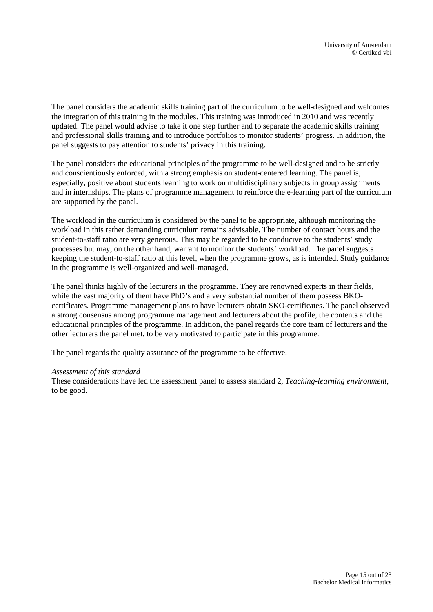The panel considers the academic skills training part of the curriculum to be well-designed and welcomes the integration of this training in the modules. This training was introduced in 2010 and was recently updated. The panel would advise to take it one step further and to separate the academic skills training and professional skills training and to introduce portfolios to monitor students' progress. In addition, the panel suggests to pay attention to students' privacy in this training.

The panel considers the educational principles of the programme to be well-designed and to be strictly and conscientiously enforced, with a strong emphasis on student-centered learning. The panel is, especially, positive about students learning to work on multidisciplinary subjects in group assignments and in internships. The plans of programme management to reinforce the e-learning part of the curriculum are supported by the panel.

The workload in the curriculum is considered by the panel to be appropriate, although monitoring the workload in this rather demanding curriculum remains advisable. The number of contact hours and the student-to-staff ratio are very generous. This may be regarded to be conducive to the students' study processes but may, on the other hand, warrant to monitor the students' workload. The panel suggests keeping the student-to-staff ratio at this level, when the programme grows, as is intended. Study guidance in the programme is well-organized and well-managed.

The panel thinks highly of the lecturers in the programme. They are renowned experts in their fields, while the vast majority of them have PhD's and a very substantial number of them possess BKOcertificates. Programme management plans to have lecturers obtain SKO-certificates. The panel observed a strong consensus among programme management and lecturers about the profile, the contents and the educational principles of the programme. In addition, the panel regards the core team of lecturers and the other lecturers the panel met, to be very motivated to participate in this programme.

The panel regards the quality assurance of the programme to be effective.

### *Assessment of this standard*

These considerations have led the assessment panel to assess standard 2, *Teaching-learning environment*, to be good.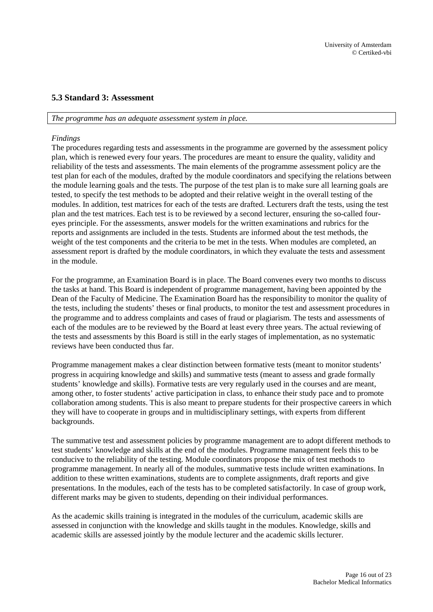## <span id="page-15-0"></span>**5.3 Standard 3: Assessment**

#### *The programme has an adequate assessment system in place.*

### *Findings*

The procedures regarding tests and assessments in the programme are governed by the assessment policy plan, which is renewed every four years. The procedures are meant to ensure the quality, validity and reliability of the tests and assessments. The main elements of the programme assessment policy are the test plan for each of the modules, drafted by the module coordinators and specifying the relations between the module learning goals and the tests. The purpose of the test plan is to make sure all learning goals are tested, to specify the test methods to be adopted and their relative weight in the overall testing of the modules. In addition, test matrices for each of the tests are drafted. Lecturers draft the tests, using the test plan and the test matrices. Each test is to be reviewed by a second lecturer, ensuring the so-called foureyes principle. For the assessments, answer models for the written examinations and rubrics for the reports and assignments are included in the tests. Students are informed about the test methods, the weight of the test components and the criteria to be met in the tests. When modules are completed, an assessment report is drafted by the module coordinators, in which they evaluate the tests and assessment in the module.

For the programme, an Examination Board is in place. The Board convenes every two months to discuss the tasks at hand. This Board is independent of programme management, having been appointed by the Dean of the Faculty of Medicine. The Examination Board has the responsibility to monitor the quality of the tests, including the students' theses or final products, to monitor the test and assessment procedures in the programme and to address complaints and cases of fraud or plagiarism. The tests and assessments of each of the modules are to be reviewed by the Board at least every three years. The actual reviewing of the tests and assessments by this Board is still in the early stages of implementation, as no systematic reviews have been conducted thus far.

Programme management makes a clear distinction between formative tests (meant to monitor students' progress in acquiring knowledge and skills) and summative tests (meant to assess and grade formally students' knowledge and skills). Formative tests are very regularly used in the courses and are meant, among other, to foster students' active participation in class, to enhance their study pace and to promote collaboration among students. This is also meant to prepare students for their prospective careers in which they will have to cooperate in groups and in multidisciplinary settings, with experts from different backgrounds.

The summative test and assessment policies by programme management are to adopt different methods to test students' knowledge and skills at the end of the modules. Programme management feels this to be conducive to the reliability of the testing. Module coordinators propose the mix of test methods to programme management. In nearly all of the modules, summative tests include written examinations. In addition to these written examinations, students are to complete assignments, draft reports and give presentations. In the modules, each of the tests has to be completed satisfactorily. In case of group work, different marks may be given to students, depending on their individual performances.

As the academic skills training is integrated in the modules of the curriculum, academic skills are assessed in conjunction with the knowledge and skills taught in the modules. Knowledge, skills and academic skills are assessed jointly by the module lecturer and the academic skills lecturer.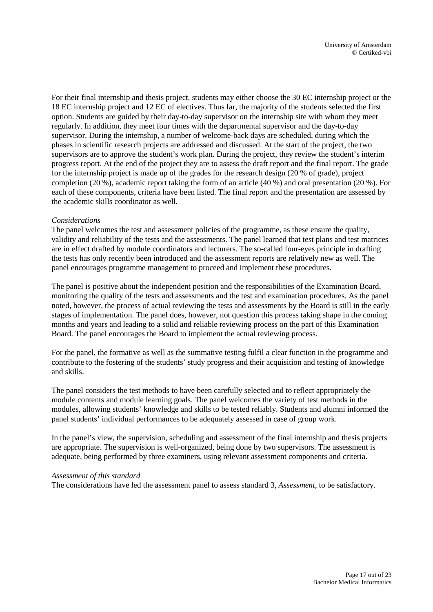For their final internship and thesis project, students may either choose the 30 EC internship project or the 18 EC internship project and 12 EC of electives. Thus far, the majority of the students selected the first option. Students are guided by their day-to-day supervisor on the internship site with whom they meet regularly. In addition, they meet four times with the departmental supervisor and the day-to-day supervisor. During the internship, a number of welcome-back days are scheduled, during which the phases in scientific research projects are addressed and discussed. At the start of the project, the two supervisors are to approve the student's work plan. During the project, they review the student's interim progress report. At the end of the project they are to assess the draft report and the final report. The grade for the internship project is made up of the grades for the research design (20 % of grade), project completion (20 %), academic report taking the form of an article (40 %) and oral presentation (20 %). For each of these components, criteria have been listed. The final report and the presentation are assessed by the academic skills coordinator as well.

### *Considerations*

The panel welcomes the test and assessment policies of the programme, as these ensure the quality, validity and reliability of the tests and the assessments. The panel learned that test plans and test matrices are in effect drafted by module coordinators and lecturers. The so-called four-eyes principle in drafting the tests has only recently been introduced and the assessment reports are relatively new as well. The panel encourages programme management to proceed and implement these procedures.

The panel is positive about the independent position and the responsibilities of the Examination Board, monitoring the quality of the tests and assessments and the test and examination procedures. As the panel noted, however, the process of actual reviewing the tests and assessments by the Board is still in the early stages of implementation. The panel does, however, not question this process taking shape in the coming months and years and leading to a solid and reliable reviewing process on the part of this Examination Board. The panel encourages the Board to implement the actual reviewing process.

For the panel, the formative as well as the summative testing fulfil a clear function in the programme and contribute to the fostering of the students' study progress and their acquisition and testing of knowledge and skills.

The panel considers the test methods to have been carefully selected and to reflect appropriately the module contents and module learning goals. The panel welcomes the variety of test methods in the modules, allowing students' knowledge and skills to be tested reliably. Students and alumni informed the panel students' individual performances to be adequately assessed in case of group work.

In the panel's view, the supervision, scheduling and assessment of the final internship and thesis projects are appropriate. The supervision is well-organized, being done by two supervisors. The assessment is adequate, being performed by three examiners, using relevant assessment components and criteria.

#### *Assessment of this standard*

The considerations have led the assessment panel to assess standard 3, *Assessment*, to be satisfactory.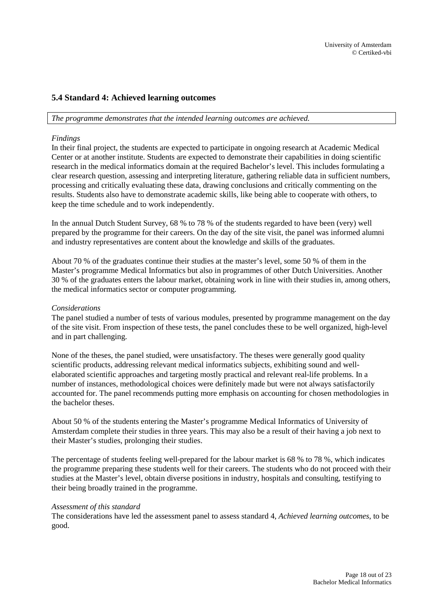## <span id="page-17-0"></span>**5.4 Standard 4: Achieved learning outcomes**

#### *The programme demonstrates that the intended learning outcomes are achieved.*

### *Findings*

In their final project, the students are expected to participate in ongoing research at Academic Medical Center or at another institute. Students are expected to demonstrate their capabilities in doing scientific research in the medical informatics domain at the required Bachelor's level. This includes formulating a clear research question, assessing and interpreting literature, gathering reliable data in sufficient numbers, processing and critically evaluating these data, drawing conclusions and critically commenting on the results. Students also have to demonstrate academic skills, like being able to cooperate with others, to keep the time schedule and to work independently.

In the annual Dutch Student Survey, 68 % to 78 % of the students regarded to have been (very) well prepared by the programme for their careers. On the day of the site visit, the panel was informed alumni and industry representatives are content about the knowledge and skills of the graduates.

About 70 % of the graduates continue their studies at the master's level, some 50 % of them in the Master's programme Medical Informatics but also in programmes of other Dutch Universities. Another 30 % of the graduates enters the labour market, obtaining work in line with their studies in, among others, the medical informatics sector or computer programming.

### *Considerations*

The panel studied a number of tests of various modules, presented by programme management on the day of the site visit. From inspection of these tests, the panel concludes these to be well organized, high-level and in part challenging.

None of the theses, the panel studied, were unsatisfactory. The theses were generally good quality scientific products, addressing relevant medical informatics subjects, exhibiting sound and wellelaborated scientific approaches and targeting mostly practical and relevant real-life problems. In a number of instances, methodological choices were definitely made but were not always satisfactorily accounted for. The panel recommends putting more emphasis on accounting for chosen methodologies in the bachelor theses.

About 50 % of the students entering the Master's programme Medical Informatics of University of Amsterdam complete their studies in three years. This may also be a result of their having a job next to their Master's studies, prolonging their studies.

The percentage of students feeling well-prepared for the labour market is 68 % to 78 %, which indicates the programme preparing these students well for their careers. The students who do not proceed with their studies at the Master's level, obtain diverse positions in industry, hospitals and consulting, testifying to their being broadly trained in the programme.

### *Assessment of this standard*

The considerations have led the assessment panel to assess standard 4, *Achieved learning outcomes*, to be good.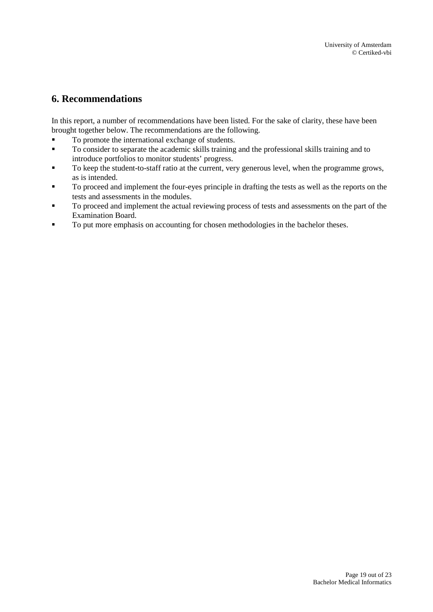# <span id="page-18-0"></span>**6. Recommendations**

In this report, a number of recommendations have been listed. For the sake of clarity, these have been brought together below. The recommendations are the following.<br>
To promote the international exchange of students

- To promote the international exchange of students.
- To consider to separate the academic skills training and the professional skills training and to introduce portfolios to monitor students' progress.
- To keep the student-to-staff ratio at the current, very generous level, when the programme grows, as is intended.
- To proceed and implement the four-eyes principle in drafting the tests as well as the reports on the tests and assessments in the modules.
- To proceed and implement the actual reviewing process of tests and assessments on the part of the Examination Board.
- To put more emphasis on accounting for chosen methodologies in the bachelor theses.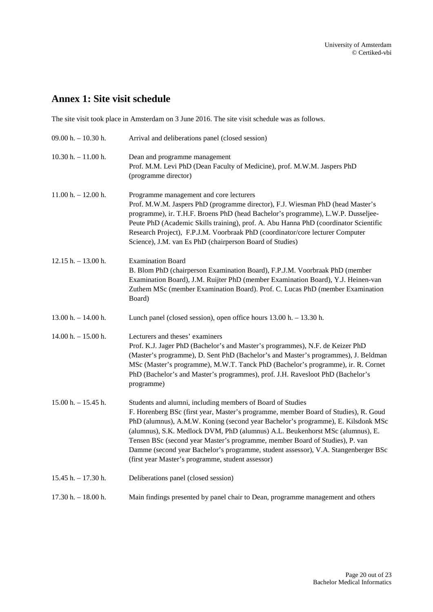# <span id="page-19-0"></span>**Annex 1: Site visit schedule**

The site visit took place in Amsterdam on 3 June 2016. The site visit schedule was as follows.

| 09.00 h. $- 10.30$ h. | Arrival and deliberations panel (closed session)                                                                                                                                                                                                                                                                                                                                                                                                                                                                                                  |
|-----------------------|---------------------------------------------------------------------------------------------------------------------------------------------------------------------------------------------------------------------------------------------------------------------------------------------------------------------------------------------------------------------------------------------------------------------------------------------------------------------------------------------------------------------------------------------------|
| $10.30 h. - 11.00 h.$ | Dean and programme management<br>Prof. M.M. Levi PhD (Dean Faculty of Medicine), prof. M.W.M. Jaspers PhD<br>(programme director)                                                                                                                                                                                                                                                                                                                                                                                                                 |
| $11.00 h. - 12.00 h.$ | Programme management and core lecturers<br>Prof. M.W.M. Jaspers PhD (programme director), F.J. Wiesman PhD (head Master's<br>programme), ir. T.H.F. Broens PhD (head Bachelor's programme), L.W.P. Dusseljee-<br>Peute PhD (Academic Skills training), prof. A. Abu Hanna PhD (coordinator Scientific<br>Research Project), F.P.J.M. Voorbraak PhD (coordinator/core lecturer Computer<br>Science), J.M. van Es PhD (chairperson Board of Studies)                                                                                                |
| $12.15 h. - 13.00 h.$ | <b>Examination Board</b><br>B. Blom PhD (chairperson Examination Board), F.P.J.M. Voorbraak PhD (member<br>Examination Board), J.M. Ruijter PhD (member Examination Board), Y.J. Heinen-van<br>Zuthem MSc (member Examination Board). Prof. C. Lucas PhD (member Examination<br>Board)                                                                                                                                                                                                                                                            |
| $13.00 h. - 14.00 h.$ | Lunch panel (closed session), open office hours $13.00$ h. $- 13.30$ h.                                                                                                                                                                                                                                                                                                                                                                                                                                                                           |
| $14.00 h. - 15.00 h.$ | Lecturers and theses' examiners<br>Prof. K.J. Jager PhD (Bachelor's and Master's programmes), N.F. de Keizer PhD<br>(Master's programme), D. Sent PhD (Bachelor's and Master's programmes), J. Beldman<br>MSc (Master's programme), M.W.T. Tanck PhD (Bachelor's programme), ir. R. Cornet<br>PhD (Bachelor's and Master's programmes), prof. J.H. Ravesloot PhD (Bachelor's<br>programme)                                                                                                                                                        |
| $15.00 h. - 15.45 h.$ | Students and alumni, including members of Board of Studies<br>F. Horenberg BSc (first year, Master's programme, member Board of Studies), R. Goud<br>PhD (alumnus), A.M.W. Koning (second year Bachelor's programme), E. Kilsdonk MSc<br>(alumnus), S.K. Medlock DVM, PhD (alumnus) A.L. Beukenhorst MSc (alumnus), E.<br>Tensen BSc (second year Master's programme, member Board of Studies), P. van<br>Damme (second year Bachelor's programme, student assessor), V.A. Stangenberger BSc<br>(first year Master's programme, student assessor) |
| $15.45 h. - 17.30 h.$ | Deliberations panel (closed session)                                                                                                                                                                                                                                                                                                                                                                                                                                                                                                              |
| $17.30 h. - 18.00 h.$ | Main findings presented by panel chair to Dean, programme management and others                                                                                                                                                                                                                                                                                                                                                                                                                                                                   |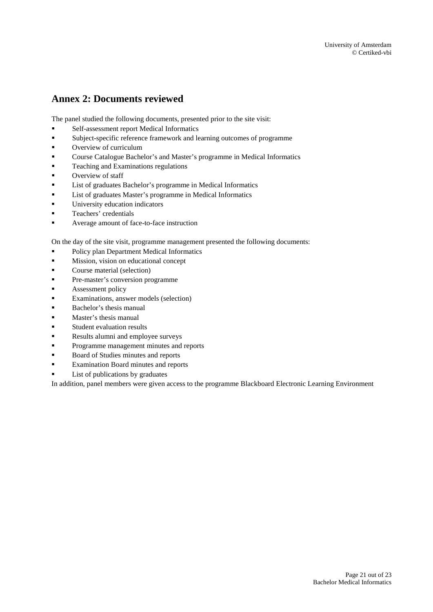# <span id="page-20-0"></span>**Annex 2: Documents reviewed**

The panel studied the following documents, presented prior to the site visit:

- Self-assessment report Medical Informatics
- Subject-specific reference framework and learning outcomes of programme
- **Overview of curriculum**
- Course Catalogue Bachelor's and Master's programme in Medical Informatics
- **Teaching and Examinations regulations**
- Overview of staff
- List of graduates Bachelor's programme in Medical Informatics
- List of graduates Master's programme in Medical Informatics
- University education indicators
- **Teachers' credentials**
- Average amount of face-to-face instruction

On the day of the site visit, programme management presented the following documents:

- **Policy plan Department Medical Informatics**
- **Mission**, vision on educational concept
- **Course material (selection)**
- **Pre-master's conversion programme**
- **Assessment policy**
- Examinations, answer models (selection)
- **Bachelor's thesis manual**
- **Master's thesis manual**
- Student evaluation results
- Results alumni and employee surveys
- **Programme management minutes and reports**
- Board of Studies minutes and reports
- **Examination Board minutes and reports**
- List of publications by graduates

In addition, panel members were given access to the programme Blackboard Electronic Learning Environment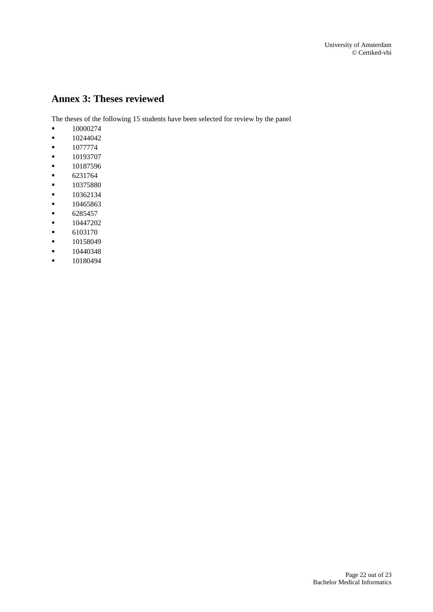# <span id="page-21-0"></span>**Annex 3: Theses reviewed**

The theses of the following 15 students have been selected for review by the panel

- 10000274
- $-10244042$
- $-1077774$
- $-10193707$
- $-10187596$
- $-6231764$
- $10375880$
- 10362134
- 
- $10465863$ 6285457
- $-10447202$
- 6103170
- $-10158049$
- $-10440348$
- **10180494**